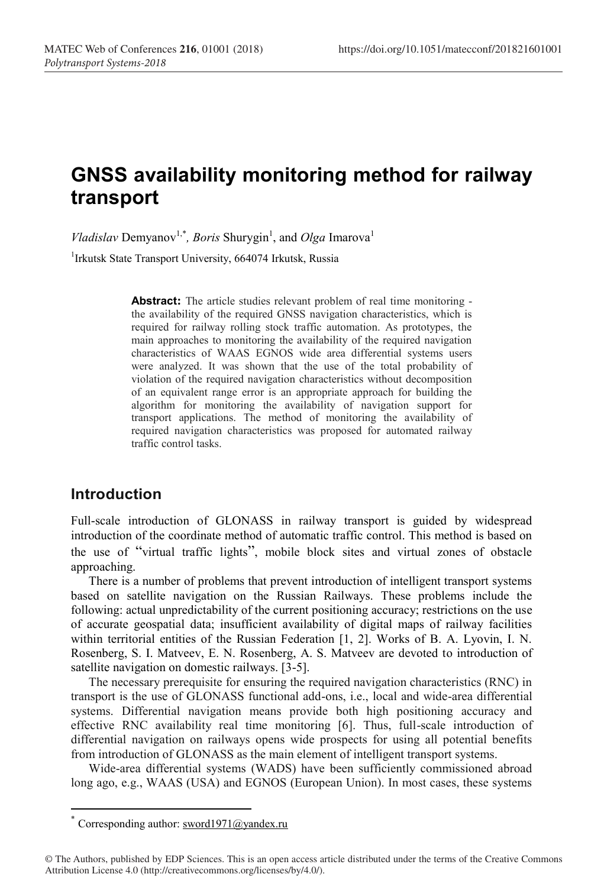# **GNSS availability monitoring method for railway transport**

*Vladislav* Demyanov<sup>1,\*</sup>, *Boris* Shurygin<sup>1</sup>, and *Olga* Imarova<sup>1</sup> <sup>1</sup>Irkutsk State Transport University, 664074 Irkutsk, Russia

> **Abstract:** The article studies relevant problem of real time monitoring the availability of the required GNSS navigation characteristics, which is required for railway rolling stock traffic automation. As prototypes, the main approaches to monitoring the availability of the required navigation characteristics of WAAS EGNOS wide area differential systems users were analyzed. It was shown that the use of the total probability of violation of the required navigation characteristics without decomposition of an equivalent range error is an appropriate approach for building the algorithm for monitoring the availability of navigation support for transport applications. The method of monitoring the availability of required navigation characteristics was proposed for automated railway traffic control tasks.

#### **Introduction**

Full-scale introduction of GLONASS in railway transport is guided by widespread introduction of the coordinate method of automatic traffic control. This method is based on the use of "virtual traffic lights", mobile block sites and virtual zones of obstacle approaching.

There is a number of problems that prevent introduction of intelligent transport systems based on satellite navigation on the Russian Railways. These problems include the following: actual unpredictability of the current positioning accuracy; restrictions on the use of accurate geospatial data; insufficient availability of digital maps of railway facilities within territorial entities of the Russian Federation [1, 2]. Works of B. A. Lyovin, I. N. Rosenberg, S. I. Matveev, E. N. Rosenberg, A. S. Matveev are devoted to introduction of satellite navigation on domestic railways. [3-5].

The necessary prerequisite for ensuring the required navigation characteristics (RNC) in transport is the use of GLONASS functional add-ons, i.e., local and wide-area differential systems. Differential navigation means provide both high positioning accuracy and effective RNC availability real time monitoring [6]. Thus, full-scale introduction of differential navigation on railways opens wide prospects for using all potential benefits from introduction of GLONASS as the main element of intelligent transport systems.

Wide-area differential systems (WADS) have been sufficiently commissioned abroad long ago, e.g., WAAS (USA) and EGNOS (European Union). In most cases, these systems

 <sup>\*</sup> Corresponding author: sword1971@yandex.ru

<sup>©</sup> The Authors, published by EDP Sciences. This is an open access article distributed under the terms of the Creative Commons Attribution License 4.0 (http://creativecommons.org/licenses/by/4.0/).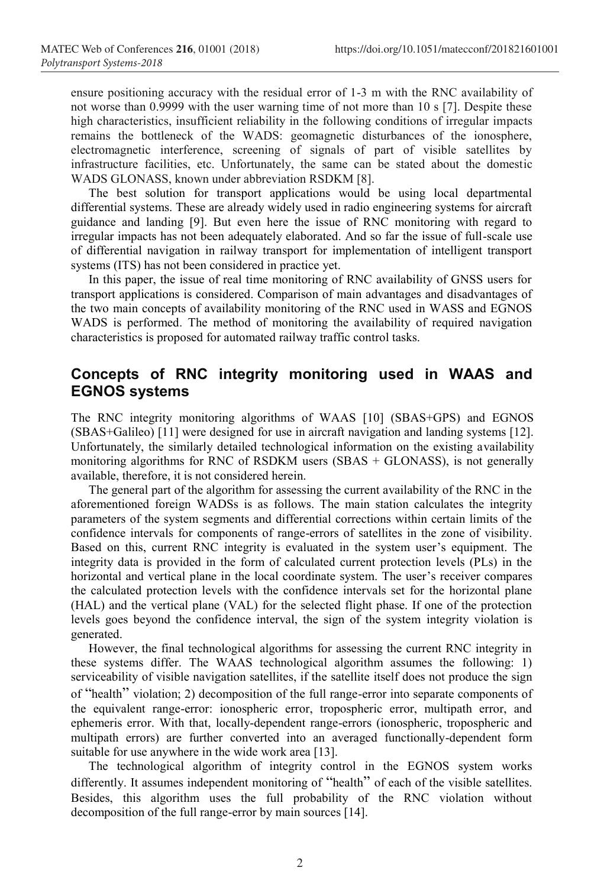ensure positioning accuracy with the residual error of 1-3 m with the RNC availability of not worse than 0.9999 with the user warning time of not more than 10 s [7]. Despite these high characteristics, insufficient reliability in the following conditions of irregular impacts remains the bottleneck of the WADS: geomagnetic disturbances of the ionosphere, electromagnetic interference, screening of signals of part of visible satellites by infrastructure facilities, etc. Unfortunately, the same can be stated about the domestic WADS GLONASS, known under abbreviation RSDKM [8].

The best solution for transport applications would be using local departmental differential systems. These are already widely used in radio engineering systems for aircraft guidance and landing [9]. But even here the issue of RNC monitoring with regard to irregular impacts has not been adequately elaborated. And so far the issue of full-scale use of differential navigation in railway transport for implementation of intelligent transport systems (ITS) has not been considered in practice yet.

In this paper, the issue of real time monitoring of RNC availability of GNSS users for transport applications is considered. Comparison of main advantages and disadvantages of the two main concepts of availability monitoring of the RNC used in WASS and EGNOS WADS is performed. The method of monitoring the availability of required navigation characteristics is proposed for automated railway traffic control tasks.

## **Concepts of RNC integrity monitoring used in WAAS and EGNOS systems**

The RNC integrity monitoring algorithms of WAAS [10] (SBAS+GPS) and EGNOS (SBAS+Galileo) [11] were designed for use in aircraft navigation and landing systems [12]. Unfortunately, the similarly detailed technological information on the existing availability monitoring algorithms for RNC of RSDKM users (SBAS + GLONASS), is not generally available, therefore, it is not considered herein.

The general part of the algorithm for assessing the current availability of the RNC in the aforementioned foreign WADSs is as follows. The main station calculates the integrity parameters of the system segments and differential corrections within certain limits of the confidence intervals for components of range-errors of satellites in the zone of visibility. Based on this, current RNC integrity is evaluated in the system user's equipment. The integrity data is provided in the form of calculated current protection levels (PLs) in the horizontal and vertical plane in the local coordinate system. The user's receiver compares the calculated protection levels with the confidence intervals set for the horizontal plane (HAL) and the vertical plane (VAL) for the selected flight phase. If one of the protection levels goes beyond the confidence interval, the sign of the system integrity violation is generated.

However, the final technological algorithms for assessing the current RNC integrity in these systems differ. The WAAS technological algorithm assumes the following: 1) serviceability of visible navigation satellites, if the satellite itself does not produce the sign of "health" violation; 2) decomposition of the full range-error into separate components of the equivalent range-error: ionospheric error, tropospheric error, multipath error, and ephemeris error. With that, locally-dependent range-errors (ionospheric, tropospheric and multipath errors) are further converted into an averaged functionally-dependent form suitable for use anywhere in the wide work area [13].

The technological algorithm of integrity control in the EGNOS system works differently. It assumes independent monitoring of "health" of each of the visible satellites. Besides, this algorithm uses the full probability of the RNC violation without decomposition of the full range-error by main sources [14].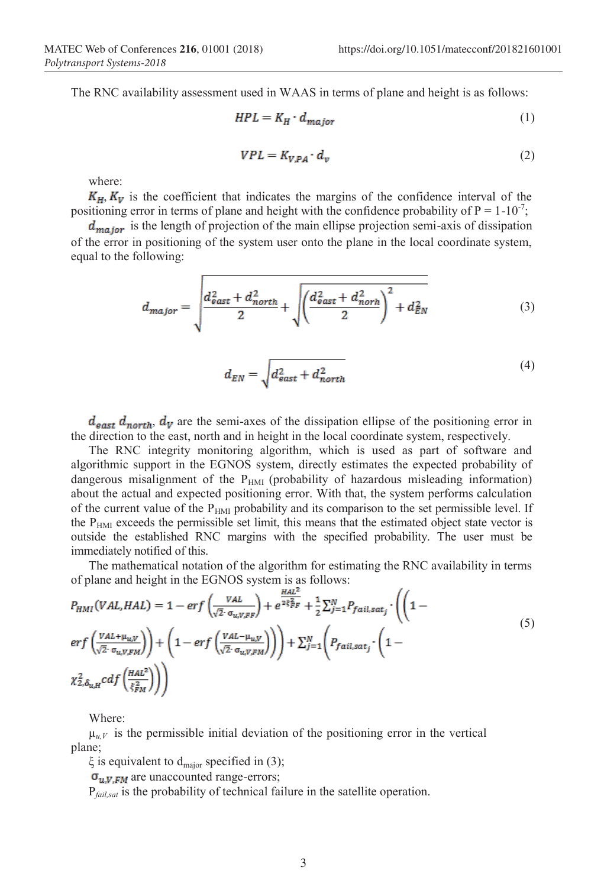The RNC availability assessment used in WAAS in terms of plane and height is as follows:

$$
HPL = K_H \cdot d_{major} \tag{1}
$$

$$
VPL = K_{V,PA} \cdot d_v \tag{2}
$$

where:

 $K_H$ ,  $K_V$  is the coefficient that indicates the margins of the confidence interval of the positioning error in terms of plane and height with the confidence probability of  $P = 1-10^{-7}$ ;

 $d_{major}$  is the length of projection of the main ellipse projection semi-axis of dissipation of the error in positioning of the system user onto the plane in the local coordinate system, equal to the following:

$$
d_{major} = \sqrt{\frac{d_{east}^2 + d_{north}^2}{2} + \sqrt{\left(\frac{d_{east}^2 + d_{north}^2}{2}\right)^2 + d_{EN}^2}}
$$
 (3)

$$
d_{EN} = \sqrt{d_{\text{east}}^2 + d_{\text{north}}^2} \tag{4}
$$

 $d_{\text{east}}$   $d_{\text{north}}$ ,  $d_{\text{V}}$  are the semi-axes of the dissipation ellipse of the positioning error in the direction to the east, north and in height in the local coordinate system, respectively.

The RNC integrity monitoring algorithm, which is used as part of software and algorithmic support in the EGNOS system, directly estimates the expected probability of dangerous misalignment of the  $P_{HMI}$  (probability of hazardous misleading information) about the actual and expected positioning error. With that, the system performs calculation of the current value of the  $P<sub>HMI</sub>$  probability and its comparison to the set permissible level. If the  $P<sub>HMI</sub>$  exceeds the permissible set limit, this means that the estimated object state vector is outside the established RNC margins with the specified probability. The user must be immediately notified of this.

The mathematical notation of the algorithm for estimating the RNC availability in terms of plane and height in the EGNOS system is as follows:

$$
P_{HMI}(VAL, HAL) = 1 - erf\left(\frac{VAL}{\sqrt{2} \cdot \sigma_{u, V, FF}}\right) + e^{\frac{HAL^{2}}{2 \xi_{FF}^{2}}} + \frac{1}{2} \sum_{j=1}^{N} P_{fail, sat_{j}} \cdot \left( \left( 1 - erf\left(\frac{VAL + \mu_{u, V}}{\sqrt{2} \cdot \sigma_{u, V, FM}}\right)\right) + \left( 1 - erf\left(\frac{VAL - \mu_{u, V}}{\sqrt{2} \cdot \sigma_{u, V, FM}}\right)\right) \right) + \sum_{j=1}^{N} \left( P_{fail, sat_{j}} \cdot \left( 1 - \frac{2 \cdot \mu_{u, V}}{\sqrt{2} \cdot \sigma_{u, V, FM}}\right) \right)
$$
\n
$$
\chi_{2, \delta_{u, H}}^{2} c df\left(\frac{HAL^{2}}{\xi_{FM}^{2}}\right) \right)
$$
\n(5)

Where:

 $\mu_{\mu\nu}$  is the permissible initial deviation of the positioning error in the vertical plane;

ξ is equivalent to d<sub>major</sub> specified in (3);

 $\sigma_{\bf uv}$   $\bf w$  are unaccounted range-errors;

P*fail,sat* is the probability of technical failure in the satellite operation.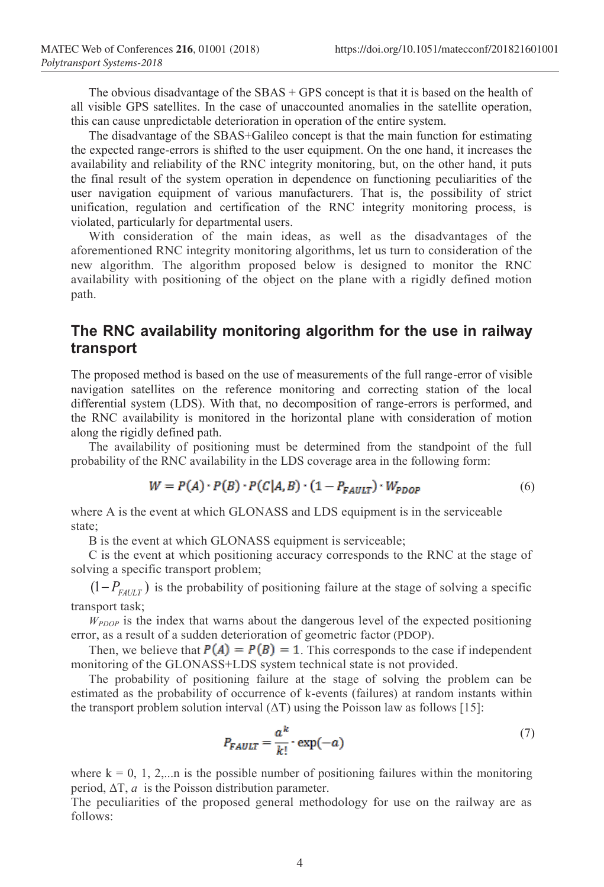The obvious disadvantage of the  $SBAS + GPS$  concept is that it is based on the health of all visible GPS satellites. In the case of unaccounted anomalies in the satellite operation, this can cause unpredictable deterioration in operation of the entire system.

The disadvantage of the SBAS+Galileo concept is that the main function for estimating the expected range-errors is shifted to the user equipment. On the one hand, it increases the availability and reliability of the RNC integrity monitoring, but, on the other hand, it puts the final result of the system operation in dependence on functioning peculiarities of the user navigation equipment of various manufacturers. That is, the possibility of strict unification, regulation and certification of the RNC integrity monitoring process, is violated, particularly for departmental users.

With consideration of the main ideas, as well as the disadvantages of the aforementioned RNC integrity monitoring algorithms, let us turn to consideration of the new algorithm. The algorithm proposed below is designed to monitor the RNC availability with positioning of the object on the plane with a rigidly defined motion path.

### **The RNC availability monitoring algorithm for the use in railway transport**

The proposed method is based on the use of measurements of the full range-error of visible navigation satellites on the reference monitoring and correcting station of the local differential system (LDS). With that, no decomposition of range-errors is performed, and the RNC availability is monitored in the horizontal plane with consideration of motion along the rigidly defined path.

The availability of positioning must be determined from the standpoint of the full probability of the RNC availability in the LDS coverage area in the following form:

$$
W = P(A) \cdot P(B) \cdot P(C|A,B) \cdot (1 - P_{FAULT}) \cdot W_{PDOP}
$$
 (6)

where A is the event at which GLONASS and LDS equipment is in the serviceable state;

В is the event at which GLONASS equipment is serviceable;

С is the event at which positioning accuracy corresponds to the RNC at the stage of solving a specific transport problem;

 $(1 - P_{FAtUT})$  is the probability of positioning failure at the stage of solving a specific transport task;

*WPDOP* is the index that warns about the dangerous level of the expected positioning error, as a result of a sudden deterioration of geometric factor (PDOP).

Then, we believe that  $P(A) = P(B) = 1$ . This corresponds to the case if independent monitoring of the GLONASS+LDS system technical state is not provided.

The probability of positioning failure at the stage of solving the problem can be estimated as the probability of occurrence of k-events (failures) at random instants within the transport problem solution interval  $(\Delta T)$  using the Poisson law as follows [15]:

$$
P_{FAULT} = \frac{a^k}{k!} \cdot \exp(-a) \tag{7}
$$

where  $k = 0, 1, 2,...n$  is the possible number of positioning failures within the monitoring period,  $\Delta T$ , *a* is the Poisson distribution parameter.

The peculiarities of the proposed general methodology for use on the railway are as follows: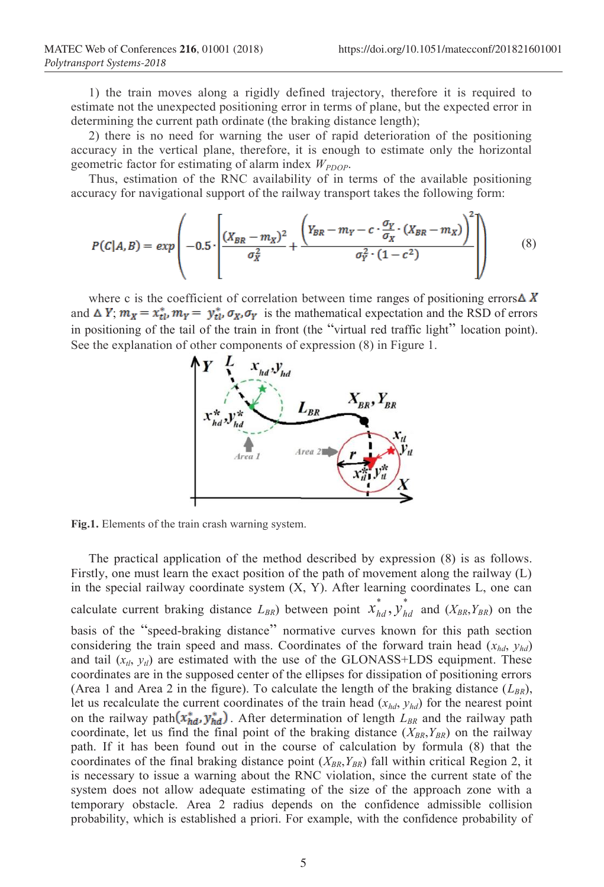1) the train moves along a rigidly defined trajectory, therefore it is required to estimate not the unexpected positioning error in terms of plane, but the expected error in determining the current path ordinate (the braking distance length);

2) there is no need for warning the user of rapid deterioration of the positioning accuracy in the vertical plane, therefore, it is enough to estimate only the horizontal geometric factor for estimating of alarm index  $W_{PDOP}$ .

Thus, estimation of the RNC availability of in terms of the available positioning accuracy for navigational support of the railway transport takes the following form:

$$
P(C|A,B) = exp\left(-0.5 \cdot \left[ \frac{(X_{BR} - m_X)^2}{\sigma_X^2} + \frac{\left(Y_{BR} - m_Y - c \cdot \frac{\sigma_Y}{\sigma_X} \cdot (X_{BR} - m_X)\right)^2}{\sigma_Y^2 \cdot (1 - c^2)} \right] \right) \tag{8}
$$

where c is the coefficient of correlation between time ranges of positioning errors  $\triangle X$ and  $\Delta Y$ ;  $m_X = x_{tl}^*$ ,  $m_Y = y_{tl}^*$ ,  $\sigma_X$ ,  $\sigma_Y$  is the mathematical expectation and the RSD of errors in positioning of the tail of the train in front (the "virtual red traffic light" location point). See the explanation of other components of expression (8) in Figure 1.



**Fig.1.** Elements of the train crash warning system.

The practical application of the method described by expression (8) is as follows. Firstly, one must learn the exact position of the path of movement along the railway (L) in the special railway coordinate system (X, Y). After learning coordinates L, one can calculate current braking distance  $L_{BR}$ ) between point  $\chi^*_{hd}$ ,  $\chi^*_{hd}$  and  $(X_{BR}, Y_{BR})$  on the basis of the "speed-braking distance" normative curves known for this path section considering the train speed and mass. Coordinates of the forward train head  $(x_{hd}, y_{hd})$ and tail  $(x_{tl}, y_{tl})$  are estimated with the use of the GLONASS+LDS equipment. These coordinates are in the supposed center of the ellipses for dissipation of positioning errors (Area 1 and Area 2 in the figure). To calculate the length of the braking distance  $(L_{BR})$ , let us recalculate the current coordinates of the train head  $(x_{hd}, y_{hd})$  for the nearest point on the railway path  $(x_{hd}^*, y_{hd}^*)$ . After determination of length  $L_{BR}$  and the railway path coordinate, let us find the final point of the braking distance  $(X_{BR}, Y_{BR})$  on the railway path. If it has been found out in the course of calculation by formula (8) that the coordinates of the final braking distance point  $(X_{BR}, Y_{BR})$  fall within critical Region 2, it is necessary to issue a warning about the RNC violation, since the current state of the system does not allow adequate estimating of the size of the approach zone with a temporary obstacle. Area 2 radius depends on the confidence admissible collision probability, which is established a priori. For example, with the confidence probability of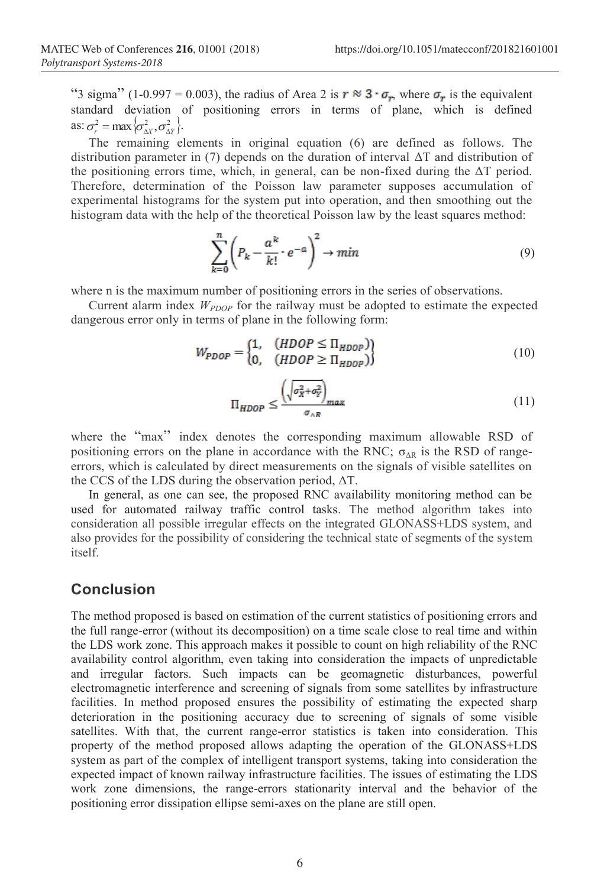"3 sigma" (1-0.997 = 0.003), the radius of Area 2 is  $r \approx 3 \cdot \sigma_r$ , where  $\sigma_r$  is the equivalent standard deviation of positioning errors in terms of plane, which is defined as:  $\sigma^2 = \max{\sigma^2_{\lambda V}, \sigma^2_{\lambda V}}$ .

The remaining elements in original equation (6) are defined as follows. The distribution parameter in (7) depends on the duration of interval ΔT and distribution of the positioning errors time, which, in general, can be non-fixed during the ΔT period. Therefore, determination of the Poisson law parameter supposes accumulation of experimental histograms for the system put into operation, and then smoothing out the histogram data with the help of the theoretical Poisson law by the least squares method:

$$
\sum_{k=0}^{n} \left( P_k - \frac{a^k}{k!} \cdot e^{-a} \right)^2 \to \min
$$
\n(9)

where n is the maximum number of positioning errors in the series of observations.

Current alarm index  $W_{PDOP}$  for the railway must be adopted to estimate the expected dangerous error only in terms of plane in the following form:

$$
W_{PDOP} = \begin{cases} 1, & (HDOP \leq \Pi_{HDOP})\\ 0, & (HDOP \geq \Pi_{HDOP}) \end{cases}
$$
 (10)

$$
\Pi_{HDOP} \le \frac{\left(\sqrt{\sigma_X^2 + \sigma_Y^2}\right)_{max}}{\sigma_{\wedge R}}
$$
\n(11)

where the "max" index denotes the corresponding maximum allowable RSD of positioning errors on the plane in accordance with the RNC;  $\sigma_{AR}$  is the RSD of rangeerrors, which is calculated by direct measurements on the signals of visible satellites on the CCS of the LDS during the observation period,  $\Delta T$ .

In general, as one can see, the proposed RNC availability monitoring method can be used for automated railway traffic control tasks. The method algorithm takes into consideration all possible irregular effects on the integrated GLONASS+LDS system, and also provides for the possibility of considering the technical state of segments of the system itself.

#### **Conclusion**

The method proposed is based on estimation of the current statistics of positioning errors and the full range-error (without its decomposition) on a time scale close to real time and within the LDS work zone. This approach makes it possible to count on high reliability of the RNC availability control algorithm, even taking into consideration the impacts of unpredictable and irregular factors. Such impacts can be geomagnetic disturbances, powerful electromagnetic interference and screening of signals from some satellites by infrastructure facilities. In method proposed ensures the possibility of estimating the expected sharp deterioration in the positioning accuracy due to screening of signals of some visible satellites. With that, the current range-error statistics is taken into consideration. This property of the method proposed allows adapting the operation of the GLONASS+LDS system as part of the complex of intelligent transport systems, taking into consideration the expected impact of known railway infrastructure facilities. The issues of estimating the LDS work zone dimensions, the range-errors stationarity interval and the behavior of the positioning error dissipation ellipse semi-axes on the plane are still open.